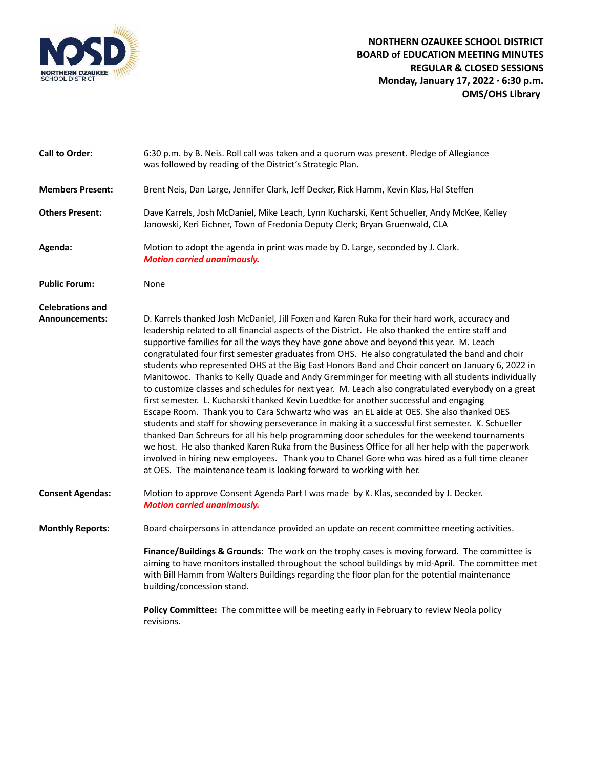

| <b>Call to Order:</b>   | 6:30 p.m. by B. Neis. Roll call was taken and a quorum was present. Pledge of Allegiance<br>was followed by reading of the District's Strategic Plan.                                                                                                                                                                                                                                                                                                                                                                                                                                                                                                                                                                                                                                                                                                                                                                                                                                                                                                                                                                                                                                                                                                                                                                                                                                   |
|-------------------------|-----------------------------------------------------------------------------------------------------------------------------------------------------------------------------------------------------------------------------------------------------------------------------------------------------------------------------------------------------------------------------------------------------------------------------------------------------------------------------------------------------------------------------------------------------------------------------------------------------------------------------------------------------------------------------------------------------------------------------------------------------------------------------------------------------------------------------------------------------------------------------------------------------------------------------------------------------------------------------------------------------------------------------------------------------------------------------------------------------------------------------------------------------------------------------------------------------------------------------------------------------------------------------------------------------------------------------------------------------------------------------------------|
| <b>Members Present:</b> | Brent Neis, Dan Large, Jennifer Clark, Jeff Decker, Rick Hamm, Kevin Klas, Hal Steffen                                                                                                                                                                                                                                                                                                                                                                                                                                                                                                                                                                                                                                                                                                                                                                                                                                                                                                                                                                                                                                                                                                                                                                                                                                                                                                  |
| <b>Others Present:</b>  | Dave Karrels, Josh McDaniel, Mike Leach, Lynn Kucharski, Kent Schueller, Andy McKee, Kelley<br>Janowski, Keri Eichner, Town of Fredonia Deputy Clerk; Bryan Gruenwald, CLA                                                                                                                                                                                                                                                                                                                                                                                                                                                                                                                                                                                                                                                                                                                                                                                                                                                                                                                                                                                                                                                                                                                                                                                                              |
| Agenda:                 | Motion to adopt the agenda in print was made by D. Large, seconded by J. Clark.<br><b>Motion carried unanimously.</b>                                                                                                                                                                                                                                                                                                                                                                                                                                                                                                                                                                                                                                                                                                                                                                                                                                                                                                                                                                                                                                                                                                                                                                                                                                                                   |
| <b>Public Forum:</b>    | None                                                                                                                                                                                                                                                                                                                                                                                                                                                                                                                                                                                                                                                                                                                                                                                                                                                                                                                                                                                                                                                                                                                                                                                                                                                                                                                                                                                    |
| <b>Celebrations and</b> |                                                                                                                                                                                                                                                                                                                                                                                                                                                                                                                                                                                                                                                                                                                                                                                                                                                                                                                                                                                                                                                                                                                                                                                                                                                                                                                                                                                         |
| Announcements:          | D. Karrels thanked Josh McDaniel, Jill Foxen and Karen Ruka for their hard work, accuracy and<br>leadership related to all financial aspects of the District. He also thanked the entire staff and<br>supportive families for all the ways they have gone above and beyond this year. M. Leach<br>congratulated four first semester graduates from OHS. He also congratulated the band and choir<br>students who represented OHS at the Big East Honors Band and Choir concert on January 6, 2022 in<br>Manitowoc. Thanks to Kelly Quade and Andy Gremminger for meeting with all students individually<br>to customize classes and schedules for next year. M. Leach also congratulated everybody on a great<br>first semester. L. Kucharski thanked Kevin Luedtke for another successful and engaging<br>Escape Room. Thank you to Cara Schwartz who was an EL aide at OES. She also thanked OES<br>students and staff for showing perseverance in making it a successful first semester. K. Schueller<br>thanked Dan Schreurs for all his help programming door schedules for the weekend tournaments<br>we host. He also thanked Karen Ruka from the Business Office for all her help with the paperwork<br>involved in hiring new employees. Thank you to Chanel Gore who was hired as a full time cleaner<br>at OES. The maintenance team is looking forward to working with her. |
| <b>Consent Agendas:</b> | Motion to approve Consent Agenda Part I was made by K. Klas, seconded by J. Decker.<br><b>Motion carried unanimously.</b>                                                                                                                                                                                                                                                                                                                                                                                                                                                                                                                                                                                                                                                                                                                                                                                                                                                                                                                                                                                                                                                                                                                                                                                                                                                               |
| <b>Monthly Reports:</b> | Board chairpersons in attendance provided an update on recent committee meeting activities.                                                                                                                                                                                                                                                                                                                                                                                                                                                                                                                                                                                                                                                                                                                                                                                                                                                                                                                                                                                                                                                                                                                                                                                                                                                                                             |
|                         | Finance/Buildings & Grounds: The work on the trophy cases is moving forward. The committee is<br>aiming to have monitors installed throughout the school buildings by mid-April. The committee met<br>with Bill Hamm from Walters Buildings regarding the floor plan for the potential maintenance<br>building/concession stand.                                                                                                                                                                                                                                                                                                                                                                                                                                                                                                                                                                                                                                                                                                                                                                                                                                                                                                                                                                                                                                                        |
|                         | Policy Committee: The committee will be meeting early in February to review Neola policy<br>revisions.                                                                                                                                                                                                                                                                                                                                                                                                                                                                                                                                                                                                                                                                                                                                                                                                                                                                                                                                                                                                                                                                                                                                                                                                                                                                                  |